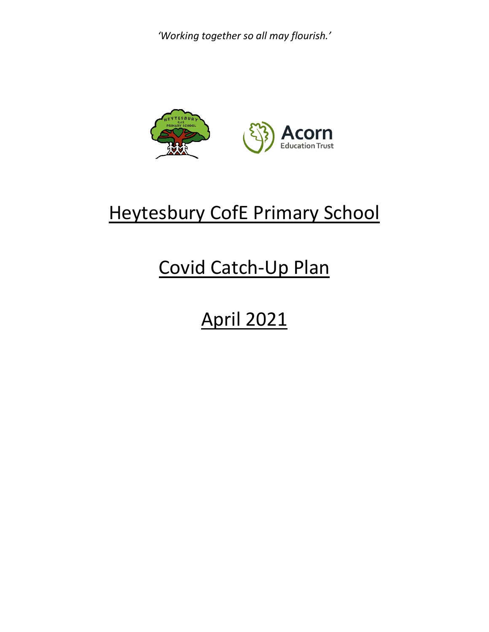

## Heytesbury CofE Primary School

# Covid Catch-Up Plan

# April 2021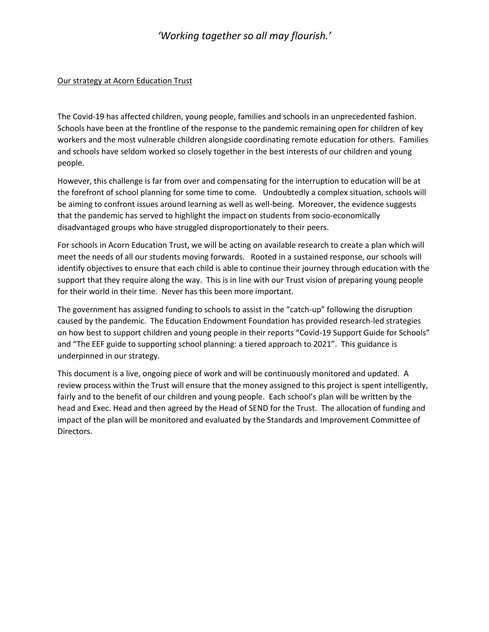#### Our strategy at Acorn Education Trust

The Covid-19 has affected children, young people, families and schools in an unprecedented fashion. Schools have been at the frontline of the response to the pandemic remaining open for children of key workers and the most vulnerable children alongside coordinating remote education for others. Families and schools have seldom worked so closely together in the best interests of our children and young people.

However, this challenge is far from over and compensating for the interruption to education will be at the forefront of school planning for some time to come. Undoubtedly a complex situation, schools will be aiming to confront issues around learning as well as well-being. Moreover, the evidence suggests that the pandemic has served to highlight the impact on students from socio-economically disadvantaged groups who have struggled disproportionately to their peers.

For schools in Acorn Education Trust, we will be acting on available research to create a plan which will meet the needs of all our students moving forwards. Rooted in a sustained response, our schools will identify objectives to ensure that each child is able to continue their journey through education with the support that they require along the way. This is in line with our Trust vision of preparing young people for their world in their time. Never has this been more important.

The government has assigned funding to schools to assist in the "catch-up" following the disruption caused by the pandemic. The Education Endowment Foundation has provided research-led strategies on how best to support children and young people in their reports "Covid-19 Support Guide for Schools" and "The EEF guide to supporting school planning: a tiered approach to 2021". This guidance is underpinned in our strategy.

This document is a live, ongoing piece of work and will be continuously monitored and updated. A review process within the Trust will ensure that the money assigned to this project is spent intelligently, fairly and to the benefit of our children and young people. Each school's plan will be written by the head and Exec. Head and then agreed by the Head of SEND for the Trust. The allocation of funding and impact of the plan will be monitored and evaluated by the Standards and Improvement Committee of Directors.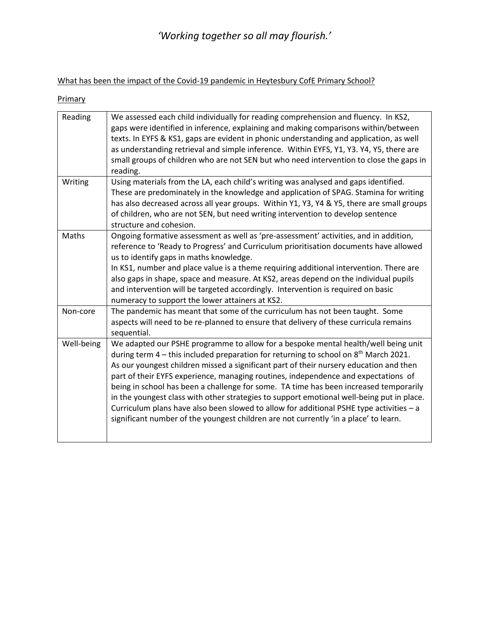What has been the impact of the Covid-19 pandemic in Heytesbury CofE Primary School?

| We assessed each child individually for reading comprehension and fluency. In KS2,<br>gaps were identified in inference, explaining and making comparisons within/between<br>texts. In EYFS & KS1, gaps are evident in phonic understanding and application, as well<br>as understanding retrieval and simple inference. Within EYFS, Y1, Y3. Y4, Y5, there are<br>small groups of children who are not SEN but who need intervention to close the gaps in<br>reading.                                                                                                                                                                                                                                                                          |
|-------------------------------------------------------------------------------------------------------------------------------------------------------------------------------------------------------------------------------------------------------------------------------------------------------------------------------------------------------------------------------------------------------------------------------------------------------------------------------------------------------------------------------------------------------------------------------------------------------------------------------------------------------------------------------------------------------------------------------------------------|
| Using materials from the LA, each child's writing was analysed and gaps identified.<br>These are predominately in the knowledge and application of SPAG. Stamina for writing<br>has also decreased across all year groups. Within Y1, Y3, Y4 & Y5, there are small groups<br>of children, who are not SEN, but need writing intervention to develop sentence<br>structure and cohesion.                                                                                                                                                                                                                                                                                                                                                         |
| Ongoing formative assessment as well as 'pre-assessment' activities, and in addition,<br>reference to 'Ready to Progress' and Curriculum prioritisation documents have allowed<br>us to identify gaps in maths knowledge.<br>In KS1, number and place value is a theme requiring additional intervention. There are<br>also gaps in shape, space and measure. At KS2, areas depend on the individual pupils<br>and intervention will be targeted accordingly. Intervention is required on basic<br>numeracy to support the lower attainers at KS2.                                                                                                                                                                                              |
| The pandemic has meant that some of the curriculum has not been taught. Some<br>aspects will need to be re-planned to ensure that delivery of these curricula remains<br>sequential.                                                                                                                                                                                                                                                                                                                                                                                                                                                                                                                                                            |
| We adapted our PSHE programme to allow for a bespoke mental health/well being unit<br>during term 4 - this included preparation for returning to school on 8 <sup>th</sup> March 2021.<br>As our youngest children missed a significant part of their nursery education and then<br>part of their EYFS experience, managing routines, independence and expectations of<br>being in school has been a challenge for some. TA time has been increased temporarily<br>in the youngest class with other strategies to support emotional well-being put in place.<br>Curriculum plans have also been slowed to allow for additional PSHE type activities - a<br>significant number of the youngest children are not currently 'in a place' to learn. |
|                                                                                                                                                                                                                                                                                                                                                                                                                                                                                                                                                                                                                                                                                                                                                 |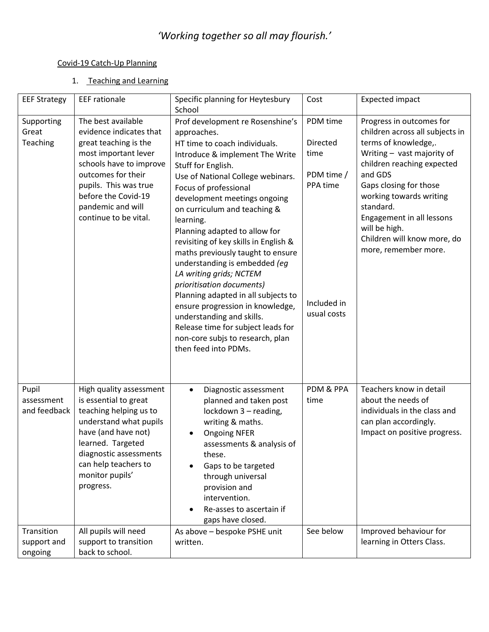#### Covid-19 Catch-Up Planning

#### 1. Teaching and Learning

| <b>EEF Strategy</b>                  | <b>EEF</b> rationale                                                                                                                                                                                                                          | Specific planning for Heytesbury<br>School                                                                                                                                                                                                                                                                                                                                                                                                                                                                                                                                                                                                                                                             | Cost                                                                                 | <b>Expected impact</b>                                                                                                                                                                                                                                                                                                            |
|--------------------------------------|-----------------------------------------------------------------------------------------------------------------------------------------------------------------------------------------------------------------------------------------------|--------------------------------------------------------------------------------------------------------------------------------------------------------------------------------------------------------------------------------------------------------------------------------------------------------------------------------------------------------------------------------------------------------------------------------------------------------------------------------------------------------------------------------------------------------------------------------------------------------------------------------------------------------------------------------------------------------|--------------------------------------------------------------------------------------|-----------------------------------------------------------------------------------------------------------------------------------------------------------------------------------------------------------------------------------------------------------------------------------------------------------------------------------|
| Supporting<br>Great<br>Teaching      | The best available<br>evidence indicates that<br>great teaching is the<br>most important lever<br>schools have to improve<br>outcomes for their<br>pupils. This was true<br>before the Covid-19<br>pandemic and will<br>continue to be vital. | Prof development re Rosenshine's<br>approaches.<br>HT time to coach individuals.<br>Introduce & implement The Write<br>Stuff for English.<br>Use of National College webinars.<br>Focus of professional<br>development meetings ongoing<br>on curriculum and teaching &<br>learning.<br>Planning adapted to allow for<br>revisiting of key skills in English &<br>maths previously taught to ensure<br>understanding is embedded (eg<br>LA writing grids; NCTEM<br>prioritisation documents)<br>Planning adapted in all subjects to<br>ensure progression in knowledge,<br>understanding and skills.<br>Release time for subject leads for<br>non-core subjs to research, plan<br>then feed into PDMs. | PDM time<br>Directed<br>time<br>PDM time /<br>PPA time<br>Included in<br>usual costs | Progress in outcomes for<br>children across all subjects in<br>terms of knowledge,.<br>Writing - vast majority of<br>children reaching expected<br>and GDS<br>Gaps closing for those<br>working towards writing<br>standard.<br>Engagement in all lessons<br>will be high.<br>Children will know more, do<br>more, remember more. |
| Pupil<br>assessment<br>and feedback  | High quality assessment<br>is essential to great<br>teaching helping us to<br>understand what pupils<br>have (and have not)<br>learned. Targeted<br>diagnostic assessments<br>can help teachers to<br>monitor pupils'<br>progress.            | Diagnostic assessment<br>$\bullet$<br>planned and taken post<br>lockdown 3 - reading,<br>writing & maths.<br><b>Ongoing NFER</b><br>assessments & analysis of<br>these.<br>Gaps to be targeted<br>through universal<br>provision and<br>intervention.<br>Re-asses to ascertain if<br>gaps have closed.                                                                                                                                                                                                                                                                                                                                                                                                 | PDM & PPA<br>time                                                                    | Teachers know in detail<br>about the needs of<br>individuals in the class and<br>can plan accordingly.<br>Impact on positive progress.                                                                                                                                                                                            |
| Transition<br>support and<br>ongoing | All pupils will need<br>support to transition<br>back to school.                                                                                                                                                                              | As above - bespoke PSHE unit<br>written.                                                                                                                                                                                                                                                                                                                                                                                                                                                                                                                                                                                                                                                               | See below                                                                            | Improved behaviour for<br>learning in Otters Class.                                                                                                                                                                                                                                                                               |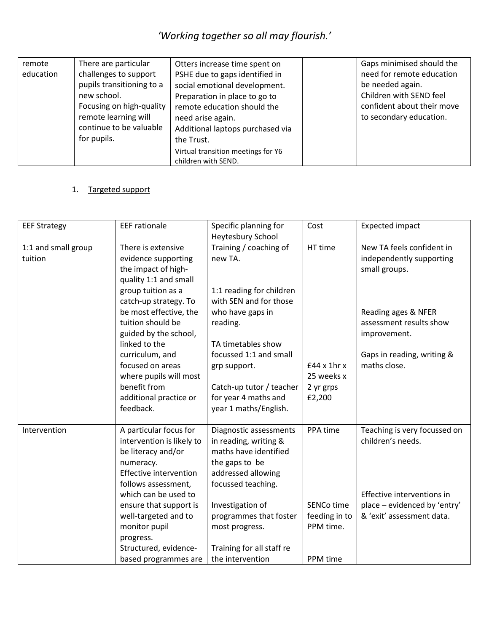| remote    | There are particular                                                                                      | Otters increase time spent on                                                                                                       | Gaps minimised should the                                                        |
|-----------|-----------------------------------------------------------------------------------------------------------|-------------------------------------------------------------------------------------------------------------------------------------|----------------------------------------------------------------------------------|
| education | challenges to support<br>pupils transitioning to a                                                        | PSHE due to gaps identified in<br>social emotional development.                                                                     | need for remote education<br>be needed again.                                    |
|           | new school.<br>Focusing on high-quality<br>remote learning will<br>continue to be valuable<br>for pupils. | Preparation in place to go to<br>remote education should the<br>need arise again.<br>Additional laptops purchased via<br>the Trust. | Children with SEND feel<br>confident about their move<br>to secondary education. |
|           |                                                                                                           | Virtual transition meetings for Y6<br>children with SEND.                                                                           |                                                                                  |

#### 1. Targeted support

| <b>EEF Strategy</b>            | <b>EEF</b> rationale                                                                                                                                                                                                                                                                             | Specific planning for<br>Heytesbury School                                                                                                                                                                                                              | Cost                                                             | <b>Expected impact</b>                                                                                                                       |
|--------------------------------|--------------------------------------------------------------------------------------------------------------------------------------------------------------------------------------------------------------------------------------------------------------------------------------------------|---------------------------------------------------------------------------------------------------------------------------------------------------------------------------------------------------------------------------------------------------------|------------------------------------------------------------------|----------------------------------------------------------------------------------------------------------------------------------------------|
| 1:1 and small group<br>tuition | There is extensive<br>evidence supporting<br>the impact of high-<br>quality 1:1 and small                                                                                                                                                                                                        | Training / coaching of<br>new TA.                                                                                                                                                                                                                       | HT time                                                          | New TA feels confident in<br>independently supporting<br>small groups.                                                                       |
|                                | group tuition as a<br>catch-up strategy. To<br>be most effective, the<br>tuition should be<br>guided by the school,<br>linked to the<br>curriculum, and<br>focused on areas<br>where pupils will most<br>benefit from<br>additional practice or<br>feedback.                                     | 1:1 reading for children<br>with SEN and for those<br>who have gaps in<br>reading.<br>TA timetables show<br>focussed 1:1 and small<br>grp support.<br>Catch-up tutor / teacher<br>for year 4 maths and<br>year 1 maths/English.                         | $£44 \times 1hr \times$<br>25 weeks x<br>2 yr grps<br>£2,200     | Reading ages & NFER<br>assessment results show<br>improvement.<br>Gaps in reading, writing &<br>maths close.                                 |
| Intervention                   | A particular focus for<br>intervention is likely to<br>be literacy and/or<br>numeracy.<br>Effective intervention<br>follows assessment,<br>which can be used to<br>ensure that support is<br>well-targeted and to<br>monitor pupil<br>progress.<br>Structured, evidence-<br>based programmes are | Diagnostic assessments<br>in reading, writing &<br>maths have identified<br>the gaps to be<br>addressed allowing<br>focussed teaching.<br>Investigation of<br>programmes that foster<br>most progress.<br>Training for all staff re<br>the intervention | PPA time<br>SENCo time<br>feeding in to<br>PPM time.<br>PPM time | Teaching is very focussed on<br>children's needs.<br>Effective interventions in<br>place - evidenced by 'entry'<br>& 'exit' assessment data. |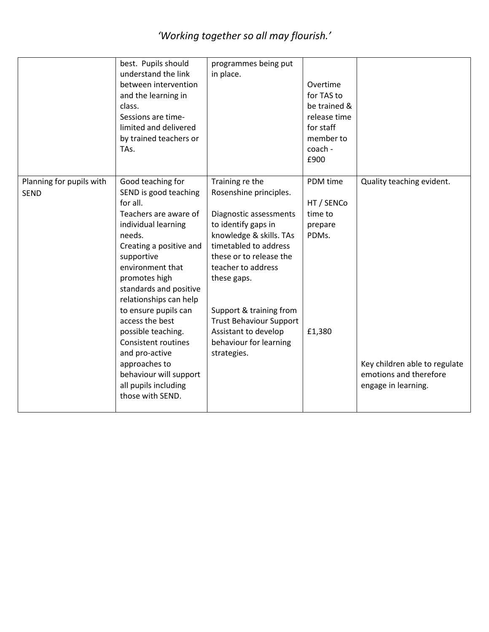|                                         | best. Pupils should<br>understand the link<br>between intervention<br>and the learning in<br>class.<br>Sessions are time-<br>limited and delivered<br>by trained teachers or<br>TAs.                                                                                                                                                                                                                                                                       | programmes being put<br>in place.                                                                                                                                                                                                                                                                                                            | Overtime<br>for TAS to<br>be trained &<br>release time<br>for staff<br>member to<br>coach -<br>£900 |                                                                                                             |
|-----------------------------------------|------------------------------------------------------------------------------------------------------------------------------------------------------------------------------------------------------------------------------------------------------------------------------------------------------------------------------------------------------------------------------------------------------------------------------------------------------------|----------------------------------------------------------------------------------------------------------------------------------------------------------------------------------------------------------------------------------------------------------------------------------------------------------------------------------------------|-----------------------------------------------------------------------------------------------------|-------------------------------------------------------------------------------------------------------------|
| Planning for pupils with<br><b>SEND</b> | Good teaching for<br>SEND is good teaching<br>for all.<br>Teachers are aware of<br>individual learning<br>needs.<br>Creating a positive and<br>supportive<br>environment that<br>promotes high<br>standards and positive<br>relationships can help<br>to ensure pupils can<br>access the best<br>possible teaching.<br><b>Consistent routines</b><br>and pro-active<br>approaches to<br>behaviour will support<br>all pupils including<br>those with SEND. | Training re the<br>Rosenshine principles.<br>Diagnostic assessments<br>to identify gaps in<br>knowledge & skills. TAs<br>timetabled to address<br>these or to release the<br>teacher to address<br>these gaps.<br>Support & training from<br><b>Trust Behaviour Support</b><br>Assistant to develop<br>behaviour for learning<br>strategies. | PDM time<br>HT / SENCO<br>time to<br>prepare<br>PDMs.<br>£1,380                                     | Quality teaching evident.<br>Key children able to regulate<br>emotions and therefore<br>engage in learning. |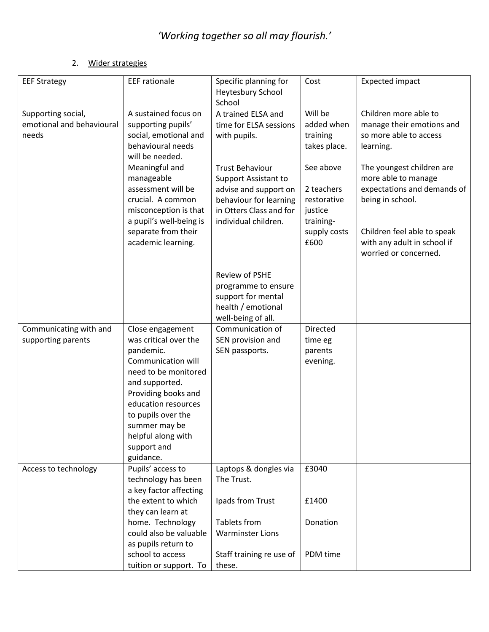#### 2. Wider strategies

| <b>EEF Strategy</b>                                      | <b>EEF</b> rationale                                                                                                                                                                                                                                          | Specific planning for<br>Heytesbury School<br>School                                                                                                        | Cost                                                                                   | <b>Expected impact</b>                                                                                                                                                                     |
|----------------------------------------------------------|---------------------------------------------------------------------------------------------------------------------------------------------------------------------------------------------------------------------------------------------------------------|-------------------------------------------------------------------------------------------------------------------------------------------------------------|----------------------------------------------------------------------------------------|--------------------------------------------------------------------------------------------------------------------------------------------------------------------------------------------|
| Supporting social,<br>emotional and behavioural<br>needs | A sustained focus on<br>supporting pupils'<br>social, emotional and<br>behavioural needs<br>will be needed.                                                                                                                                                   | A trained ELSA and<br>time for ELSA sessions<br>with pupils.                                                                                                | Will be<br>added when<br>training<br>takes place.                                      | Children more able to<br>manage their emotions and<br>so more able to access<br>learning.                                                                                                  |
|                                                          | Meaningful and<br>manageable<br>assessment will be<br>crucial. A common<br>misconception is that<br>a pupil's well-being is<br>separate from their<br>academic learning.                                                                                      | <b>Trust Behaviour</b><br><b>Support Assistant to</b><br>advise and support on<br>behaviour for learning<br>in Otters Class and for<br>individual children. | See above<br>2 teachers<br>restorative<br>justice<br>training-<br>supply costs<br>£600 | The youngest children are<br>more able to manage<br>expectations and demands of<br>being in school.<br>Children feel able to speak<br>with any adult in school if<br>worried or concerned. |
|                                                          |                                                                                                                                                                                                                                                               | Review of PSHE<br>programme to ensure<br>support for mental<br>health / emotional<br>well-being of all.                                                     |                                                                                        |                                                                                                                                                                                            |
| Communicating with and<br>supporting parents             | Close engagement<br>was critical over the<br>pandemic.<br>Communication will<br>need to be monitored<br>and supported.<br>Providing books and<br>education resources<br>to pupils over the<br>summer may be<br>helpful along with<br>support and<br>guidance. | Communication of<br>SEN provision and<br>SEN passports.                                                                                                     | Directed<br>time eg<br>parents<br>evening.                                             |                                                                                                                                                                                            |
| Access to technology                                     | Pupils' access to<br>technology has been<br>a key factor affecting                                                                                                                                                                                            | Laptops & dongles via<br>The Trust.                                                                                                                         | £3040                                                                                  |                                                                                                                                                                                            |
|                                                          | the extent to which<br>they can learn at<br>home. Technology<br>could also be valuable                                                                                                                                                                        | Ipads from Trust<br><b>Tablets from</b><br><b>Warminster Lions</b>                                                                                          | £1400<br>Donation                                                                      |                                                                                                                                                                                            |
|                                                          | as pupils return to<br>school to access<br>tuition or support. To                                                                                                                                                                                             | Staff training re use of<br>these.                                                                                                                          | PDM time                                                                               |                                                                                                                                                                                            |